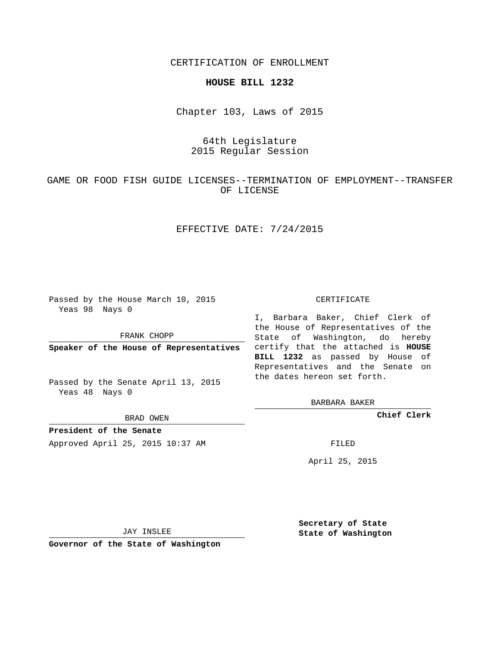CERTIFICATION OF ENROLLMENT

#### **HOUSE BILL 1232**

Chapter 103, Laws of 2015

# 64th Legislature 2015 Regular Session

# GAME OR FOOD FISH GUIDE LICENSES--TERMINATION OF EMPLOYMENT--TRANSFER OF LICENSE

## EFFECTIVE DATE: 7/24/2015

Passed by the House March 10, 2015 Yeas 98 Nays 0

FRANK CHOPP

Passed by the Senate April 13, 2015 Yeas 48 Nays 0

BRAD OWEN

**President of the Senate**

Approved April 25, 2015 10:37 AM FILED

#### CERTIFICATE

**Speaker of the House of Representatives** certify that the attached is **HOUSE** I, Barbara Baker, Chief Clerk of the House of Representatives of the State of Washington, do hereby **BILL 1232** as passed by House of Representatives and the Senate on the dates hereon set forth.

BARBARA BAKER

**Chief Clerk**

April 25, 2015

JAY INSLEE

**Governor of the State of Washington**

**Secretary of State State of Washington**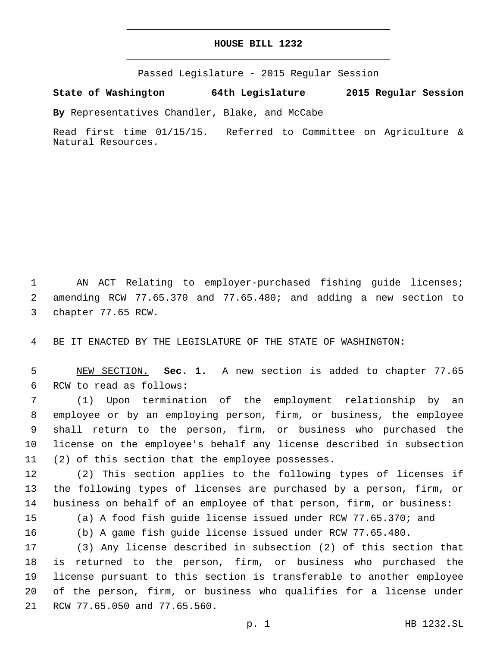### **HOUSE BILL 1232**

Passed Legislature - 2015 Regular Session

**State of Washington 64th Legislature 2015 Regular Session**

**By** Representatives Chandler, Blake, and McCabe

Read first time 01/15/15. Referred to Committee on Agriculture & Natural Resources.

1 AN ACT Relating to employer-purchased fishing guide licenses; 2 amending RCW 77.65.370 and 77.65.480; and adding a new section to 3 chapter 77.65 RCW.

4 BE IT ENACTED BY THE LEGISLATURE OF THE STATE OF WASHINGTON:

5 NEW SECTION. **Sec. 1.** A new section is added to chapter 77.65 6 RCW to read as follows:

 (1) Upon termination of the employment relationship by an employee or by an employing person, firm, or business, the employee shall return to the person, firm, or business who purchased the license on the employee's behalf any license described in subsection 11 (2) of this section that the employee possesses.

12 (2) This section applies to the following types of licenses if 13 the following types of licenses are purchased by a person, firm, or 14 business on behalf of an employee of that person, firm, or business:

15 (a) A food fish guide license issued under RCW 77.65.370; and

16 (b) A game fish guide license issued under RCW 77.65.480.

 (3) Any license described in subsection (2) of this section that is returned to the person, firm, or business who purchased the license pursuant to this section is transferable to another employee of the person, firm, or business who qualifies for a license under 21 RCW 77.65.050 and 77.65.560.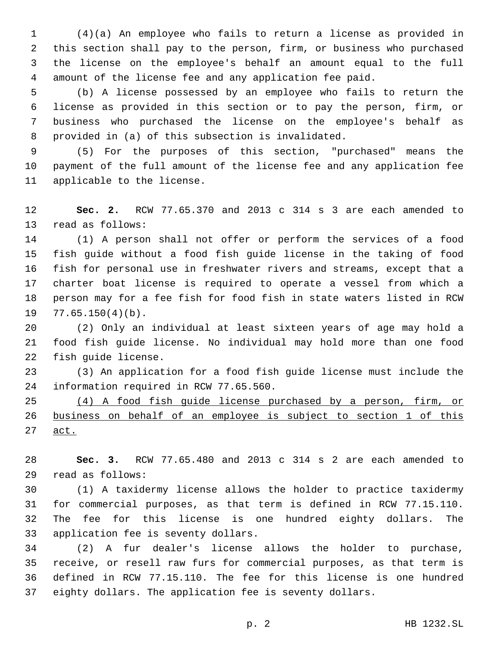(4)(a) An employee who fails to return a license as provided in this section shall pay to the person, firm, or business who purchased the license on the employee's behalf an amount equal to the full amount of the license fee and any application fee paid.

 (b) A license possessed by an employee who fails to return the license as provided in this section or to pay the person, firm, or business who purchased the license on the employee's behalf as provided in (a) of this subsection is invalidated.8

 (5) For the purposes of this section, "purchased" means the payment of the full amount of the license fee and any application fee 11 applicable to the license.

 **Sec. 2.** RCW 77.65.370 and 2013 c 314 s 3 are each amended to 13 read as follows:

 (1) A person shall not offer or perform the services of a food fish guide without a food fish guide license in the taking of food fish for personal use in freshwater rivers and streams, except that a charter boat license is required to operate a vessel from which a person may for a fee fish for food fish in state waters listed in RCW  $77.65.150(4)(b)$ .

 (2) Only an individual at least sixteen years of age may hold a food fish guide license. No individual may hold more than one food 22 fish quide license.

 (3) An application for a food fish guide license must include the 24 information required in RCW 77.65.560.

 (4) A food fish guide license purchased by a person, firm, or business on behalf of an employee is subject to section 1 of this 27 act.

 **Sec. 3.** RCW 77.65.480 and 2013 c 314 s 2 are each amended to read as follows:29

 (1) A taxidermy license allows the holder to practice taxidermy for commercial purposes, as that term is defined in RCW 77.15.110. The fee for this license is one hundred eighty dollars. The 33 application fee is seventy dollars.

 (2) A fur dealer's license allows the holder to purchase, receive, or resell raw furs for commercial purposes, as that term is defined in RCW 77.15.110. The fee for this license is one hundred eighty dollars. The application fee is seventy dollars.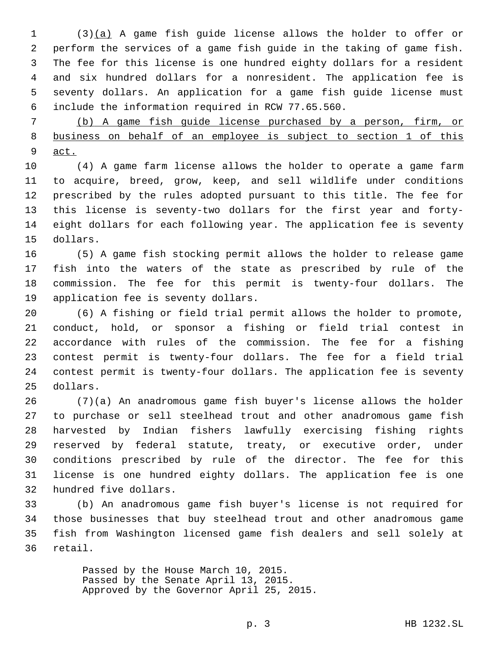(3)(a) A game fish guide license allows the holder to offer or perform the services of a game fish guide in the taking of game fish. The fee for this license is one hundred eighty dollars for a resident and six hundred dollars for a nonresident. The application fee is seventy dollars. An application for a game fish guide license must include the information required in RCW 77.65.560.6

 (b) A game fish guide license purchased by a person, firm, or 8 business on behalf of an employee is subject to section 1 of this act.

 (4) A game farm license allows the holder to operate a game farm to acquire, breed, grow, keep, and sell wildlife under conditions prescribed by the rules adopted pursuant to this title. The fee for this license is seventy-two dollars for the first year and forty- eight dollars for each following year. The application fee is seventy 15 dollars.

 (5) A game fish stocking permit allows the holder to release game fish into the waters of the state as prescribed by rule of the commission. The fee for this permit is twenty-four dollars. The 19 application fee is seventy dollars.

 (6) A fishing or field trial permit allows the holder to promote, conduct, hold, or sponsor a fishing or field trial contest in accordance with rules of the commission. The fee for a fishing contest permit is twenty-four dollars. The fee for a field trial contest permit is twenty-four dollars. The application fee is seventy 25 dollars.

 (7)(a) An anadromous game fish buyer's license allows the holder to purchase or sell steelhead trout and other anadromous game fish harvested by Indian fishers lawfully exercising fishing rights reserved by federal statute, treaty, or executive order, under conditions prescribed by rule of the director. The fee for this license is one hundred eighty dollars. The application fee is one 32 hundred five dollars.

 (b) An anadromous game fish buyer's license is not required for those businesses that buy steelhead trout and other anadromous game fish from Washington licensed game fish dealers and sell solely at 36 retail.

> Passed by the House March 10, 2015. Passed by the Senate April 13, 2015. Approved by the Governor April 25, 2015.